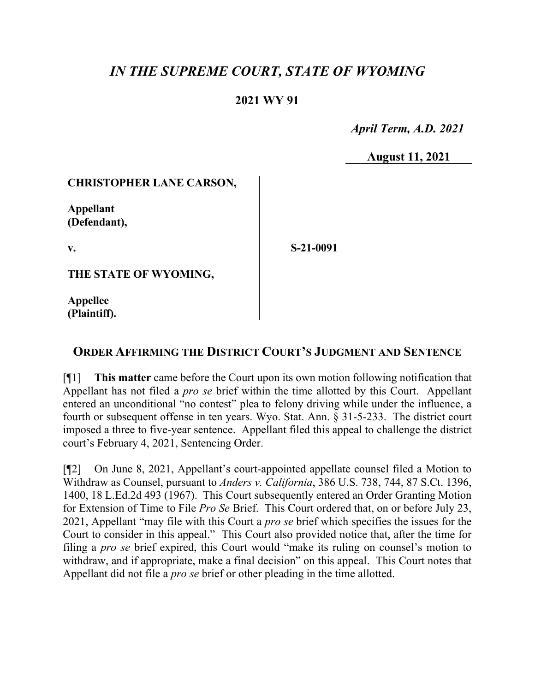# *IN THE SUPREME COURT, STATE OF WYOMING*

## **2021 WY 91**

 *April Term, A.D. 2021*

**August 11, 2021**

#### **CHRISTOPHER LANE CARSON,**

**Appellant (Defendant),**

**v.**

**S-21-0091**

**THE STATE OF WYOMING,**

**Appellee (Plaintiff).**

# **ORDER AFFIRMING THE DISTRICT COURT'S JUDGMENT AND SENTENCE**

[¶1] **This matter** came before the Court upon its own motion following notification that Appellant has not filed a *pro se* brief within the time allotted by this Court. Appellant entered an unconditional "no contest" plea to felony driving while under the influence, a fourth or subsequent offense in ten years. Wyo. Stat. Ann. § 31-5-233. The district court imposed a three to five-year sentence. Appellant filed this appeal to challenge the district court's February 4, 2021, Sentencing Order.

[¶2] On June 8, 2021, Appellant's court-appointed appellate counsel filed a Motion to Withdraw as Counsel, pursuant to *Anders v. California*, 386 U.S. 738, 744, 87 S.Ct. 1396, 1400, 18 L.Ed.2d 493 (1967). This Court subsequently entered an Order Granting Motion for Extension of Time to File *Pro Se* Brief. This Court ordered that, on or before July 23, 2021, Appellant "may file with this Court a *pro se* brief which specifies the issues for the Court to consider in this appeal." This Court also provided notice that, after the time for filing a *pro se* brief expired, this Court would "make its ruling on counsel's motion to withdraw, and if appropriate, make a final decision" on this appeal. This Court notes that Appellant did not file a *pro se* brief or other pleading in the time allotted.